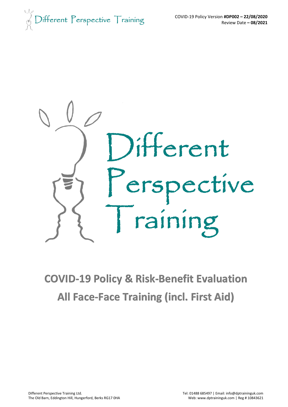$\bigcirc$ ifferent Perspective  $\top$ raining



# **COVID-19 Policy & Risk-Benefit Evaluation All Face-Face Training (incl. First Aid)**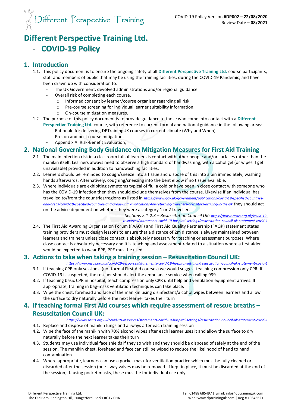

# **Different Perspective Training Ltd.** - **COVID-19 Policy**

## **1. Introduction**

- 1.1. This policy document is to ensure the ongoing safety of all **Different Perspective Training Ltd.** course participants, staff and members of public that may be using the training facilities, during the COVID-19 Pandemic, and have been drawn up with consideration to:
	- The UK Government, devolved administrations and/or regional guidance
	- Overall risk of completing each course.
		- o Informed consent by learner/course organiser regarding all risk.
		- o Pre-course screening for individual learner suitability information.
		- o On-course mitigation measures.
- 1.2. The purpose of this policy document is to provide guidance to those who come into contact with a **Different Perspective Training Ltd.** course, with reference to current formal and national guidance in the following areas:
	- Rationale for delivering DPTrainingUK courses in current climate (Why and When).
	- Pre, on and post course mitigation.
	- Appendix A. Risk-Benefit Evaluation,

## **2. National Governing Body Guidance on Mitigation Measures for First Aid Training**

- 2.1. The main infection risk in a classroom full of learners is contact with other people and/or surfaces rather than the manikin itself. Learners always need to observe a high standard of handwashing, with alcohol gel (or wipes if gel unavailable) provided in addition to handwashing facilities.
- 2.2. Learners should be reminded to cough/sneeze into a tissue and dispose of this into a bin immediately, washing hands afterwards. Alternatively, coughing/sneezing into the bent elbow if no tissue available.
- 2.3. Where individuals are exhibiting symptoms typical of flu, a cold or have been in close contact with someone who has the COVID-19 infection then they should exclude themselves from the course. Likewise if an individual has travelled to/from the countries/regions as listed in *[https://www.gov.uk/government/publications/covid-19-specified-countries](https://www.gov.uk/government/publications/covid-19-specified-countries-and-areas/covid-19-specified-countries-and-areas-with-implications-for-returning-travellers-or-visitors-arriving-in-the-uk)[and-areas/covid-19-specified-countries-and-areas-with-implications-for-returning-travellers-or-visitors-arriving-in-the-uk](https://www.gov.uk/government/publications/covid-19-specified-countries-and-areas/covid-19-specified-countries-and-areas-with-implications-for-returning-travellers-or-visitors-arriving-in-the-uk)* they should act on the advice dependent on whether they were a category 1 or 2 traveller.

*Sections 2.1-2.3 – Resuscitation Council UK: [https://www.resus.org.uk/covid-19](https://www.resus.org.uk/covid-19-resources/statements-covid-19-hospital-settings/resuscitation-council-uk-statement-covid-1) [resources/statements-covid-19-hospital-settings/resuscitation-council-uk-statement-covid-1](https://www.resus.org.uk/covid-19-resources/statements-covid-19-hospital-settings/resuscitation-council-uk-statement-covid-1)*

2.4. The First Aid Awarding Organisation Forum (FAAOF) and First Aid Quality Partnership (FAQP) statement states training providers must design lessons to ensure that a distance of 2m distance is always maintained between learners and trainers unless close contact is absolutely necessary for teaching or assessment purposes. Where close contact is absolutely necessary and it is teaching and assessment related to a situation where a first aider would be expected to wear PPE, PPE must be used.

#### **3. Actions to take when taking a training session – Resuscitation Council UK:**

- *<https://www.resus.org.uk/covid-19-resources/statements-covid-19-hospital-settings/resuscitation-council-uk-statement-covid-1>* 3.1. If teaching CPR only sessions, (not formal First Aid courses) we would suggest teaching compression only CPR. If COVID-19 is suspected, the rescuer should alert the ambulance service when calling 999.
- 3.2. If teaching basic CPR in hospital, teach compression only CPR until help and ventilation equipment arrives. If appropriate, training in bag-mask ventilation techniques can take place.
- 3.3. Wipe the chest, forehead and face of the manikin using disinfectant/alcohol wipes between learners and allow the surface to dry naturally before the next learner takes their turn

#### **4. If teaching formal First Aid courses which require assessment of rescue breaths – Resuscitation Council UK:**

#### *<https://www.resus.org.uk/covid-19-resources/statements-covid-19-hospital-settings/resuscitation-council-uk-statement-covid-1>*

- 4.1. Replace and dispose of manikin lungs and airways after each training session
- 4.2. Wipe the face of the manikin with 70% alcohol wipes after each learner uses it and allow the surface to dry naturally before the next learner takes their turn
- 4.3. Students may use individual face shields if they so wish and they should be disposed of safely at the end of the session. The manikin chest, forehead and face can still be wiped to reduce the likelihood of hand to hand contamination.
- 4.4. Where appropriate, learners can use a pocket mask for ventilation practice which must be fully cleaned or discarded after the session (one - way valves may be removed. If kept in place, it must be discarded at the end of the session). If using pocket masks, these must be for individual use only.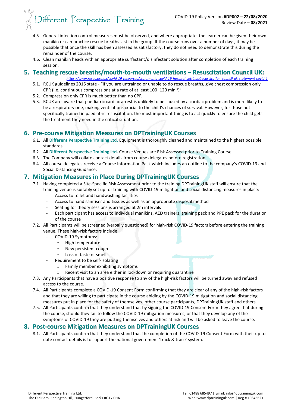

- 4.5. General infection control measures must be observed, and where appropriate, the learner can be given their own manikin or can practice rescue breaths last in the group. If the course runs over a number of days, it may be possible that once the skill has been assessed as satisfactory, they do not need to demonstrate this during the remainder of the course.
- 4.6. Clean manikin heads with an appropriate surfactant/disinfectant solution after completion of each training session.

# **5. Teaching rescue breaths/mouth-to-mouth ventilations – Resuscitation Council UK:**

*<https://www.resus.org.uk/covid-19-resources/statements-covid-19-hospital-settings/resuscitation-council-uk-statement-covid-1>*

- 5.1. RCUK guidelines 2015 state "If you are untrained or unable to do rescue breaths, give chest compression only CPR (i.e. continuous compressions at a rate of at least 100–120 min<sup>-1</sup>)"
- 5.2. Compression only CPR is much better than no CPR
- 5.3. RCUK are aware that paediatric cardiac arrest is unlikely to be caused by a cardiac problem and is more likely to be a respiratory one, making ventilations crucial to the child's chances of survival. However, for those not specifically trained in paediatric resuscitation, the most important thing is to act quickly to ensure the child gets the treatment they need in the critical situation.

# **6. Pre-course Mitigation Measures on DPTrainingUK Courses**

- 6.1. All **Different Perspective Training Ltd.** Equipment is thoroughly cleaned and maintained to the highest possible standards.
- 6.2. All **Different Perspective Training Ltd.** Course Venues are Risk Assessed prior to Training Course.
- 6.3. The Company will collate contact details from course delegates before registration.
- 6.4. All course delegates receive a Course Information Pack which includes an outline to the company's COVID-19 and Social Distancing Guidance.

#### **7. Mitigation Measures in Place During DPTrainingUK Courses**

7.1. Having completed a Site-Specific Risk Assessment prior to the training DPTrainingUK staff will ensure that the

training venue is suitably set up for training with COVID-19 mitigation and social distancing measures in place: Access to toilet and handwashing facilities

- Access to hand sanitiser and tissues as well as an appropriate disposal method
- Seating for theory sessions is arranged at 2m intervals
- Each participant has access to individual manikins, AED trainers, training pack and PPE pack for the duration of the course
- 7.2. All Participants will be screened (verbally questioned) for high-risk COVID-19 factors before entering the training venue. These high-risk factors include:
	- COVID-19 Symptoms:
		- o High temperature
		- o New persistent cough
		- o Loss of taste or smell
	- Requirement to be self-isolating
		- o Family member exhibiting symptoms
		- o Recent visit to an area either in lockdown or requiring quarantine
- 7.3. Any Participants that have a positive response to any of the high-risk factors will be turned away and refused access to the course.
- 7.4. All Participants complete a COVID-19 Consent Form confirming that they are clear of any of the high-risk factors and that they are willing to participate in the course abiding by the COVID-19 mitigation and social distancing measures put in place for the safety of themselves, other course participants, DPTrainingUK staff and others.
- 7.5. All Participants confirm that they understand that by signing the COVID-19 Consent Form they agree that during the course, should they fail to follow the COVID-19 mitigation measures, or that they develop any of the symptoms of COVID-19 they are putting themselves and others at risk and will be asked to leave the course.

#### **8. Post-course Mitigation Measures on DPTrainingUK Courses**

8.1. All Participants confirm that they understand that the completion of the COVID-19 Consent Form with their up to date contact details is to support the national government 'track & trace' system.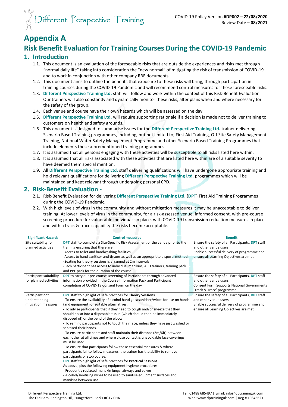

# **Appendix A**

# **Risk Benefit Evaluation for Training Courses During the COVID-19 Pandemic**

#### **1. Introduction**

- 1.1. This document is an evaluation of the foreseeable risks that are outside the experiences and risks met through "normal daily life" taking into consideration the "new normal" of mitigating the risk of transmission of COVID-19 and to work in conjunction with other company RBE documents
- 1.2. This document aims to outline the benefits that exposure to these risks will bring, through participation in training courses during the COVID-19 Pandemic and will recommend control measures for these foreseeable risks.
- 1.3. **Different Perspective Training Ltd.** staff will follow and work within the context of this Risk-Benefit Evaluation. Our trainers will also constantly and dynamically monitor these risks, alter plans when and where necessary for the safety of the group.
- 1.4. Each venue and course have their own hazards which will be assessed on the day.
- 1.5. **Different Perspective Training Ltd.** will require supporting rationale if a decision is made not to deliver training to customers on health and safety grounds.
- 1.6. This document is designed to summarise issues for the **Different Perspective Training Ltd.** trainer delivering Scenario Based Training programmes, including, but not limited to; First Aid Training, Off Site Safety Management Training, National Water Safety Management Programme and other Scenario Based Training Programmes that include elements these aforementioned training programmes.
- 1.7. It is assumed that all persons engaging with these activities will be susceptible to all risks listed here within.
- 1.8. It is assumed that all risks associated with these activities that are listed here within are of a suitable severity to have deemed them special mention.
- 1.9. All **Different Perspective Training Ltd.** staff delivering qualifications will have undergone appropriate training and hold relevant qualifications for delivering **Different Perspective Training Ltd.** programmes which will be maintained and kept relevant through undergoing personal CPD.

#### **2. Risk-Benefit Evaluation -**

- 2.1. Risk-Benefit Evaluation for delivering **Different Perspective Training Ltd.** (**DPT**) First Aid Training Programmes during the COVID-19 Pandemic.
- 2.2. With high levels of virus in the community and without mitigation measures it may be unacceptable to deliver training. At lower levels of virus in the community, for a risk-assessed venue, informed consent, with pre-course screening procedure for vulnerable individuals in place, with COVID-19 transmission reduction measures in place and with a track & trace capability the risks become acceptable.

| <b>Significant Hazards</b> | <b>Control measures</b>                                                                | <b>Benefit</b>                                    |
|----------------------------|----------------------------------------------------------------------------------------|---------------------------------------------------|
| Site suitability for       | <b>DPT</b> staff to complete a Site-Specific Risk Assessment of the venue prior to the | Ensure the safety of all Participants, DPT staff  |
| planned activities         | training ensuring that there are:                                                      | and other venue users.                            |
|                            | -Access to toilet and handwashing facilities                                           | Enable successful delivery of programme and       |
|                            | -Access to hand sanitiser and tissues as well as an appropriate disposal method        | ensure all Learning Objectives are met            |
|                            | -Seating for theory sessions is arranged at 2m intervals                               |                                                   |
|                            | Each participant has access to individual manikins, AED trainers, training pack        |                                                   |
|                            | and PPE pack for the duration of the course                                            |                                                   |
| Participant suitability    | <b>DPT</b> to carry out pre-course screening of Participants through advanced          | Ensure the safety of all Participants, DPT staff  |
| for planned activities     | information provided in the Course Information Pack and Participant                    | and other venue users.                            |
|                            | completion of COVID-19 Consent Form on the day                                         | <b>Consent Form Supports National Governments</b> |
|                            |                                                                                        | 'Track & Trace' programme.                        |
| Participant not            | <b>DPT</b> staff to highlight of safe practices for Theory Sessions                    | Ensure the safety of all Participants, DPT staff  |
| understanding              | - To ensure the availability of alcohol hand gels/sanitiser/wipes for use on hands     | and other venue users.                            |
| mitigation measures        | (and equipment) or suitable alternatives.                                              | Enable successful delivery of programme and       |
|                            | - To advise participants that if they need to cough and/or sneeze that they            | ensure all Learning Objectives are met            |
|                            | should do so into a disposable tissue (which should then be immediately                |                                                   |
|                            | disposed of) or the bend of the elbow.                                                 |                                                   |
|                            | - To remind participants not to touch their face, unless they have just washed or      |                                                   |
|                            | sanitised their hands.                                                                 |                                                   |
|                            | - To ensure participants and staff maintain their distance (2m/6ft) between            |                                                   |
|                            | each other at all times and where close contact is unavoidable face coverings          |                                                   |
|                            | must be used.                                                                          |                                                   |
|                            | - To ensure that participants follow these essential measures & where                  |                                                   |
|                            | participants fail to follow measures, the trainer has the ability to remove            |                                                   |
|                            | participants or stop course.                                                           |                                                   |
|                            | <b>DPT</b> staff to highlight of safe practices for <b>Practical Sessions</b>          |                                                   |
|                            | As above, plus the following equipment hygiene procedures                              |                                                   |
|                            | - Frequently replaced manakin lungs, airways and valves.                               |                                                   |
|                            | - Alcohol/sanitising wipes to be used to sanitise equipment surfaces and               |                                                   |
|                            | manikins between use.                                                                  |                                                   |